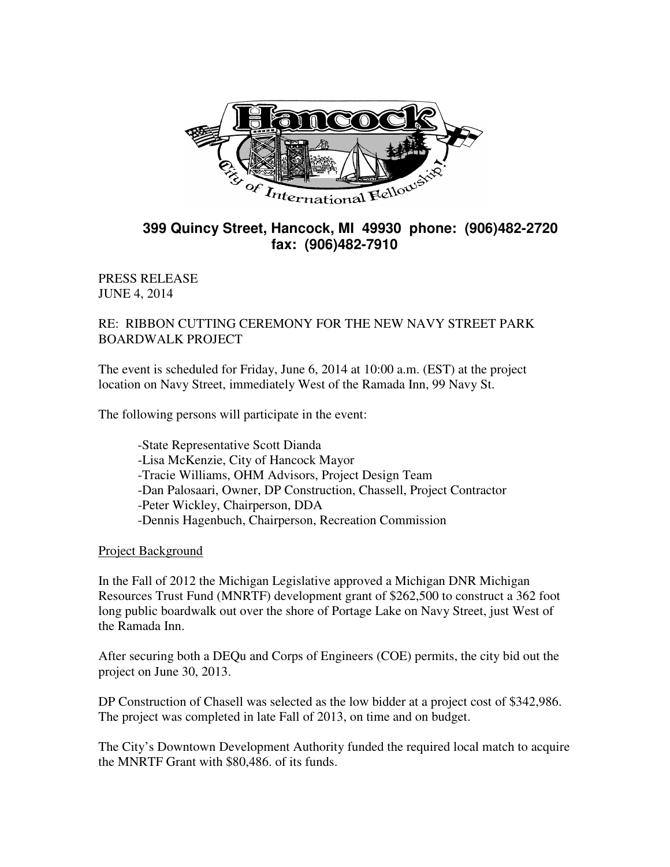

## **399 Quincy Street, Hancock, MI 49930 phone: (906)482-2720 fax: (906)482-7910**

PRESS RELEASE JUNE 4, 2014

RE: RIBBON CUTTING CEREMONY FOR THE NEW NAVY STREET PARK BOARDWALK PROJECT

The event is scheduled for Friday, June 6, 2014 at 10:00 a.m. (EST) at the project location on Navy Street, immediately West of the Ramada Inn, 99 Navy St.

The following persons will participate in the event:

 -State Representative Scott Dianda -Lisa McKenzie, City of Hancock Mayor -Tracie Williams, OHM Advisors, Project Design Team -Dan Palosaari, Owner, DP Construction, Chassell, Project Contractor -Peter Wickley, Chairperson, DDA -Dennis Hagenbuch, Chairperson, Recreation Commission

Project Background

In the Fall of 2012 the Michigan Legislative approved a Michigan DNR Michigan Resources Trust Fund (MNRTF) development grant of \$262,500 to construct a 362 foot long public boardwalk out over the shore of Portage Lake on Navy Street, just West of the Ramada Inn.

After securing both a DEQu and Corps of Engineers (COE) permits, the city bid out the project on June 30, 2013.

DP Construction of Chasell was selected as the low bidder at a project cost of \$342,986. The project was completed in late Fall of 2013, on time and on budget.

The City's Downtown Development Authority funded the required local match to acquire the MNRTF Grant with \$80,486. of its funds.